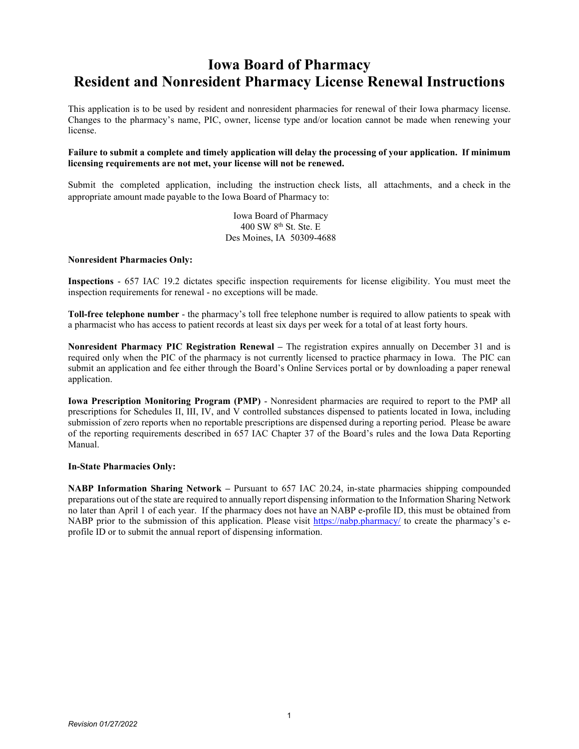## **Iowa Board of Pharmacy Resident and Nonresident Pharmacy License Renewal Instructions**

This application is to be used by resident and nonresident pharmacies for renewal of their Iowa pharmacy license. Changes to the pharmacy's name, PIC, owner, license type and/or location cannot be made when renewing your license.

### **Failure to submit a complete and timely application will delay the processing of your application. If minimum licensing requirements are not met, your license will not be renewed.**

Submit the completed application, including the instruction check lists, all attachments, and a check in the appropriate amount made payable to the Iowa Board of Pharmacy to:

> Iowa Board of Pharmacy  $400$  SW  $8^{th}$  St. Ste. E Des Moines, IA 50309-4688

### **Nonresident Pharmacies Only:**

**Inspections** - 657 IAC 19.2 dictates specific inspection requirements for license eligibility. You must meet the inspection requirements for renewal - no exceptions will be made.

**Toll-free telephone number** - the pharmacy's toll free telephone number is required to allow patients to speak with a pharmacist who has access to patient records at least six days per week for a total of at least forty hours.

**Nonresident Pharmacy PIC Registration Renewal –** The registration expires annually on December 31 and is required only when the PIC of the pharmacy is not currently licensed to practice pharmacy in Iowa. The PIC can submit an application and fee either through the Board's Online Services portal or by downloading a paper renewal application.

**Iowa Prescription Monitoring Program (PMP)** - Nonresident pharmacies are required to report to the PMP all prescriptions for Schedules II, III, IV, and V controlled substances dispensed to patients located in Iowa, including submission of zero reports when no reportable prescriptions are dispensed during a reporting period. Please be aware of the reporting requirements described in 657 IAC Chapter 37 of the Board's rules and the Iowa Data Reporting Manual.

#### **In-State Pharmacies Only:**

**NABP Information Sharing Network –** Pursuant to 657 IAC 20.24, in-state pharmacies shipping compounded preparations out of the state are required to annually report dispensing information to the Information Sharing Network no later than April 1 of each year. If the pharmacy does not have an NABP e-profile ID, this must be obtained from NABP prior to the submission of this application. Please visit<https://nabp.pharmacy/> to create the pharmacy's eprofile ID or to submit the annual report of dispensing information.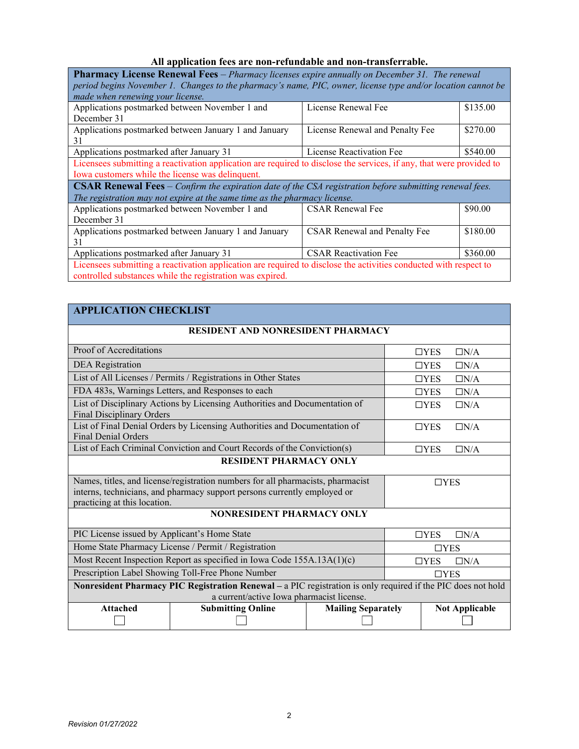### **All application fees are non-refundable and non-transferrable.**

| <b>Pharmacy License Renewal Fees</b> - Pharmacy licenses expire annually on December 31. The renewal<br>period begins November 1. Changes to the pharmacy's name, PIC, owner, license type and/or location cannot be<br>made when renewing your license. |                          |          |  |  |  |  |  |
|----------------------------------------------------------------------------------------------------------------------------------------------------------------------------------------------------------------------------------------------------------|--------------------------|----------|--|--|--|--|--|
| Applications postmarked between November 1 and<br>December 31                                                                                                                                                                                            | License Renewal Fee      | \$135.00 |  |  |  |  |  |
| \$270.00<br>Applications postmarked between January 1 and January<br>License Renewal and Penalty Fee<br>31                                                                                                                                               |                          |          |  |  |  |  |  |
| Applications postmarked after January 31                                                                                                                                                                                                                 | License Reactivation Fee | \$540.00 |  |  |  |  |  |
| Licensees submitting a reactivation application are required to disclose the services, if any, that were provided to<br>Iowa customers while the license was delinquent.                                                                                 |                          |          |  |  |  |  |  |
| <b>CSAR Renewal Fees</b> $-$ Confirm the expiration date of the CSA registration before submitting renewal fees.<br>The registration may not expire at the same time as the pharmacy license.                                                            |                          |          |  |  |  |  |  |
| Applications postmarked between November 1 and<br>\$90.00<br><b>CSAR Renewal Fee</b><br>December 31                                                                                                                                                      |                          |          |  |  |  |  |  |
| Applications postmarked between January 1 and January<br>\$180.00<br><b>CSAR Renewal and Penalty Fee</b><br>31                                                                                                                                           |                          |          |  |  |  |  |  |
| \$360.00<br>Applications postmarked after January 31<br><b>CSAR Reactivation Fee</b>                                                                                                                                                                     |                          |          |  |  |  |  |  |
| Licensees submitting a reactivation application are required to disclose the activities conducted with respect to<br>controlled substances while the registration was expired.                                                                           |                          |          |  |  |  |  |  |

| <b>APPLICATION CHECKLIST</b>                                                                                                                                                                |                             |  |  |  |  |  |
|---------------------------------------------------------------------------------------------------------------------------------------------------------------------------------------------|-----------------------------|--|--|--|--|--|
| <b>RESIDENT AND NONRESIDENT PHARMACY</b>                                                                                                                                                    |                             |  |  |  |  |  |
| Proof of Accreditations                                                                                                                                                                     | $\Box$ YES<br>$\Box N/A$    |  |  |  |  |  |
| <b>DEA</b> Registration                                                                                                                                                                     | $\Box$ YES<br>$\Box N/A$    |  |  |  |  |  |
| List of All Licenses / Permits / Registrations in Other States                                                                                                                              | $\Box N/A$<br>$\Box$ YES    |  |  |  |  |  |
| FDA 483s, Warnings Letters, and Responses to each                                                                                                                                           | $\Box N/A$<br>$\Box$ YES    |  |  |  |  |  |
| List of Disciplinary Actions by Licensing Authorities and Documentation of<br><b>Final Disciplinary Orders</b>                                                                              | $\Box N/A$<br>$\Box$ YES    |  |  |  |  |  |
| List of Final Denial Orders by Licensing Authorities and Documentation of<br><b>Final Denial Orders</b>                                                                                     | $\Box$ YES<br>$\Box N/A$    |  |  |  |  |  |
| List of Each Criminal Conviction and Court Records of the Conviction(s)                                                                                                                     | $\Box N/A$<br>$\Box$ YES    |  |  |  |  |  |
| <b>RESIDENT PHARMACY ONLY</b>                                                                                                                                                               |                             |  |  |  |  |  |
| Names, titles, and license/registration numbers for all pharmacists, pharmacist<br>interns, technicians, and pharmacy support persons currently employed or<br>practicing at this location. | $\Box$ YES                  |  |  |  |  |  |
| NONRESIDENT PHARMACY ONLY                                                                                                                                                                   |                             |  |  |  |  |  |
| PIC License issued by Applicant's Home State                                                                                                                                                | $\Box N/A$<br>$\square$ YES |  |  |  |  |  |
| Home State Pharmacy License / Permit / Registration                                                                                                                                         | $\square$ YES               |  |  |  |  |  |
| Most Recent Inspection Report as specified in Iowa Code 155A.13A(1)(c)                                                                                                                      | $\Box N/A$<br>$\square$ YES |  |  |  |  |  |

| Prescription Label Showing Toll-Free Phone Number                                                              |                                           | $\Box$ YES            |  |  |  |  |  |  |
|----------------------------------------------------------------------------------------------------------------|-------------------------------------------|-----------------------|--|--|--|--|--|--|
| Nonresident Pharmacy PIC Registration Renewal – $a$ PIC registration is only required if the PIC does not hold |                                           |                       |  |  |  |  |  |  |
|                                                                                                                | a current/active Iowa pharmacist license. |                       |  |  |  |  |  |  |
| <b>Attached</b>                                                                                                | <b>Mailing Separately</b>                 | <b>Not Applicable</b> |  |  |  |  |  |  |
|                                                                                                                |                                           |                       |  |  |  |  |  |  |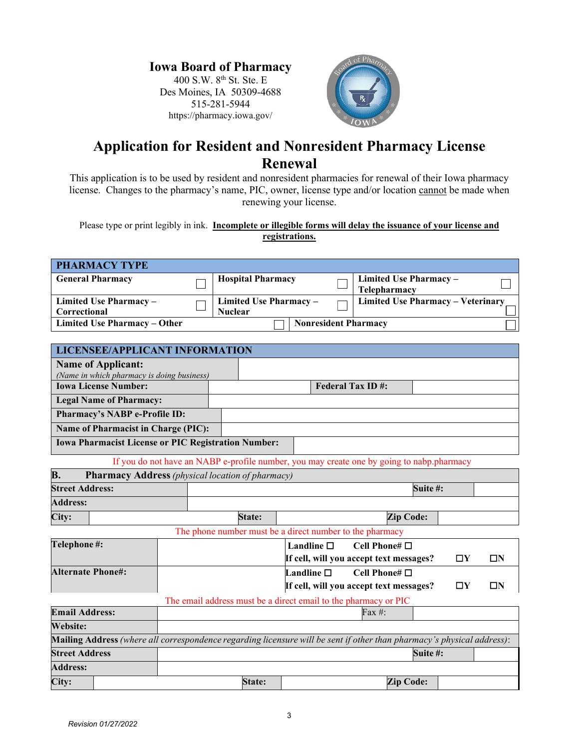### **Iowa Board of Pharmacy**

400 S.W. 8<sup>th</sup> St. Ste. E Des Moines, IA 50309-4688 515-281-5944 https://pharmacy.iowa.gov/



## **Application for Resident and Nonresident Pharmacy License Renewal**

This application is to be used by resident and nonresident pharmacies for renewal of their Iowa pharmacy license. Changes to the pharmacy's name, PIC, owner, license type and/or location cannot be made when renewing your license.

Please type or print legibly in ink. **Incomplete or illegible forms will delay the issuance of your license and registrations.**

| <b>PHARMACY TYPE</b>                   |                                          |                             |                                               |
|----------------------------------------|------------------------------------------|-----------------------------|-----------------------------------------------|
| <b>General Pharmacy</b>                | <b>Hospital Pharmacy</b>                 |                             | Limited Use Pharmacy -<br><b>Telepharmacy</b> |
| Limited Use Pharmacy -<br>Correctional | Limited Use Pharmacy -<br><b>Nuclear</b> |                             | Limited Use Pharmacy – Veterinary             |
| <b>Limited Use Pharmacy – Other</b>    |                                          | <b>Nonresident Pharmacy</b> |                                               |

| <b>LICENSEE/APPLICANT INFORMATION</b>                                                                                  |                         |        |                    |  |                                                                 |          |          |          |
|------------------------------------------------------------------------------------------------------------------------|-------------------------|--------|--------------------|--|-----------------------------------------------------------------|----------|----------|----------|
| <b>Name of Applicant:</b>                                                                                              |                         |        |                    |  |                                                                 |          |          |          |
| (Name in which pharmacy is doing business)<br><b>Iowa License Number:</b>                                              | <b>Federal Tax ID#:</b> |        |                    |  |                                                                 |          |          |          |
|                                                                                                                        |                         |        |                    |  |                                                                 |          |          |          |
| <b>Legal Name of Pharmacy:</b>                                                                                         |                         |        |                    |  |                                                                 |          |          |          |
| Pharmacy's NABP e-Profile ID:                                                                                          |                         |        |                    |  |                                                                 |          |          |          |
| <b>Name of Pharmacist in Charge (PIC):</b>                                                                             |                         |        |                    |  |                                                                 |          |          |          |
| <b>Iowa Pharmacist License or PIC Registration Number:</b>                                                             |                         |        |                    |  |                                                                 |          |          |          |
| If you do not have an NABP e-profile number, you may create one by going to nabp.pharmacy                              |                         |        |                    |  |                                                                 |          |          |          |
| <b>B.</b><br><b>Pharmacy Address</b> (physical location of pharmacy)                                                   |                         |        |                    |  |                                                                 |          |          |          |
| <b>Street Address:</b>                                                                                                 |                         |        |                    |  |                                                                 | Suite #: |          |          |
| <b>Address:</b>                                                                                                        |                         |        |                    |  |                                                                 |          |          |          |
| City:                                                                                                                  |                         | State: |                    |  | <b>Zip Code:</b>                                                |          |          |          |
|                                                                                                                        |                         |        |                    |  | The phone number must be a direct number to the pharmacy        |          |          |          |
| Telephone#:                                                                                                            |                         |        | Landline $\Box$    |  | Cell Phone# $\Box$                                              |          |          |          |
|                                                                                                                        |                         |        |                    |  | If cell, will you accept text messages?                         |          | $\Box Y$ | $\Box N$ |
| <b>Alternate Phone#:</b>                                                                                               |                         |        | Landline $\square$ |  | Cell Phone# $\Box$                                              |          |          |          |
|                                                                                                                        |                         |        |                    |  | If cell, will you accept text messages?                         |          | $\Box Y$ | $\Box N$ |
|                                                                                                                        |                         |        |                    |  | The email address must be a direct email to the pharmacy or PIC |          |          |          |
| <b>Email Address:</b>                                                                                                  |                         |        |                    |  | Fax #:                                                          |          |          |          |
| <b>Website:</b>                                                                                                        |                         |        |                    |  |                                                                 |          |          |          |
| Mailing Address (where all correspondence regarding licensure will be sent if other than pharmacy's physical address): |                         |        |                    |  |                                                                 |          |          |          |
| <b>Street Address</b>                                                                                                  |                         |        |                    |  |                                                                 | Suite #: |          |          |
| <b>Address:</b>                                                                                                        |                         |        |                    |  |                                                                 |          |          |          |
| City:                                                                                                                  |                         | State: |                    |  | <b>Zip Code:</b>                                                |          |          |          |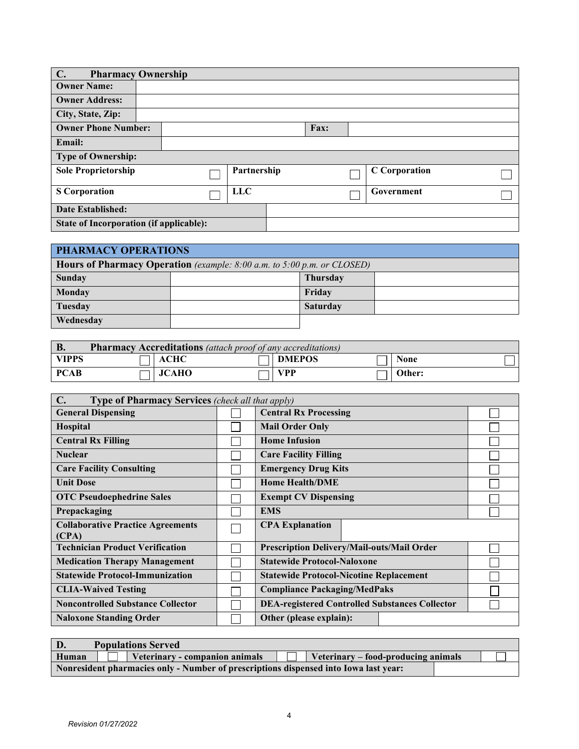| $\mathbf{C}$ .                          | <b>Pharmacy Ownership</b> |             |      |                      |
|-----------------------------------------|---------------------------|-------------|------|----------------------|
| <b>Owner Name:</b>                      |                           |             |      |                      |
| <b>Owner Address:</b>                   |                           |             |      |                      |
| City, State, Zip:                       |                           |             |      |                      |
| <b>Owner Phone Number:</b>              |                           |             | Fax: |                      |
| <b>Email:</b>                           |                           |             |      |                      |
| <b>Type of Ownership:</b>               |                           |             |      |                      |
| <b>Sole Proprietorship</b>              |                           | Partnership |      | <b>C</b> Corporation |
| <b>S</b> Corporation                    |                           | <b>LLC</b>  |      | Government           |
| Date Established:                       |                           |             |      |                      |
| State of Incorporation (if applicable): |                           |             |      |                      |

| PHARMACY OPERATIONS                                                            |  |                 |  |  |  |  |
|--------------------------------------------------------------------------------|--|-----------------|--|--|--|--|
| <b>Hours of Pharmacy Operation</b> (example: 8:00 a.m. to 5:00 p.m. or CLOSED) |  |                 |  |  |  |  |
| Sunday                                                                         |  | <b>Thursday</b> |  |  |  |  |
| Monday                                                                         |  | Friday          |  |  |  |  |
| Tuesday                                                                        |  | <b>Saturday</b> |  |  |  |  |
| Wednesday                                                                      |  |                 |  |  |  |  |

| <b>B.</b><br><b>Pharmacy Accreditations</b> (attach proof of any accreditations) |  |          |  |        |  |             |  |
|----------------------------------------------------------------------------------|--|----------|--|--------|--|-------------|--|
| <b>VIPPS</b>                                                                     |  | 11 ACHC  |  | DMEPOS |  | <b>None</b> |  |
| <b>PCAB</b>                                                                      |  | 11 JCAHO |  | ∂I VPP |  | Other:      |  |

| <b>Type of Pharmacy Services</b> (check all that apply)<br>$\mathbf{C}$ . |  |                                                       |  |  |  |
|---------------------------------------------------------------------------|--|-------------------------------------------------------|--|--|--|
| <b>General Dispensing</b>                                                 |  | <b>Central Rx Processing</b>                          |  |  |  |
| Hospital                                                                  |  | <b>Mail Order Only</b>                                |  |  |  |
| <b>Central Rx Filling</b>                                                 |  | <b>Home Infusion</b>                                  |  |  |  |
| <b>Nuclear</b>                                                            |  | <b>Care Facility Filling</b>                          |  |  |  |
| <b>Care Facility Consulting</b>                                           |  | <b>Emergency Drug Kits</b>                            |  |  |  |
| <b>Unit Dose</b>                                                          |  | <b>Home Health/DME</b>                                |  |  |  |
| <b>OTC Pseudoephedrine Sales</b>                                          |  | <b>Exempt CV Dispensing</b>                           |  |  |  |
| Prepackaging                                                              |  | <b>EMS</b>                                            |  |  |  |
| <b>Collaborative Practice Agreements</b><br>(CPA)                         |  | <b>CPA Explanation</b>                                |  |  |  |
| <b>Technician Product Verification</b>                                    |  | Prescription Delivery/Mail-outs/Mail Order            |  |  |  |
| <b>Medication Therapy Management</b>                                      |  | <b>Statewide Protocol-Naloxone</b>                    |  |  |  |
| <b>Statewide Protocol-Immunization</b>                                    |  | <b>Statewide Protocol-Nicotine Replacement</b>        |  |  |  |
| <b>CLIA-Waived Testing</b>                                                |  | <b>Compliance Packaging/MedPaks</b>                   |  |  |  |
| <b>Noncontrolled Substance Collector</b>                                  |  | <b>DEA-registered Controlled Substances Collector</b> |  |  |  |
| <b>Naloxone Standing Order</b>                                            |  | Other (please explain):                               |  |  |  |

| D.    | <b>Populations Served</b>                                                            |  |
|-------|--------------------------------------------------------------------------------------|--|
| Human | Veterinary - companion animals<br>Veterinary – food-producing animals                |  |
|       | Nonresident pharmacies only - Number of prescriptions dispensed into Iowa last year: |  |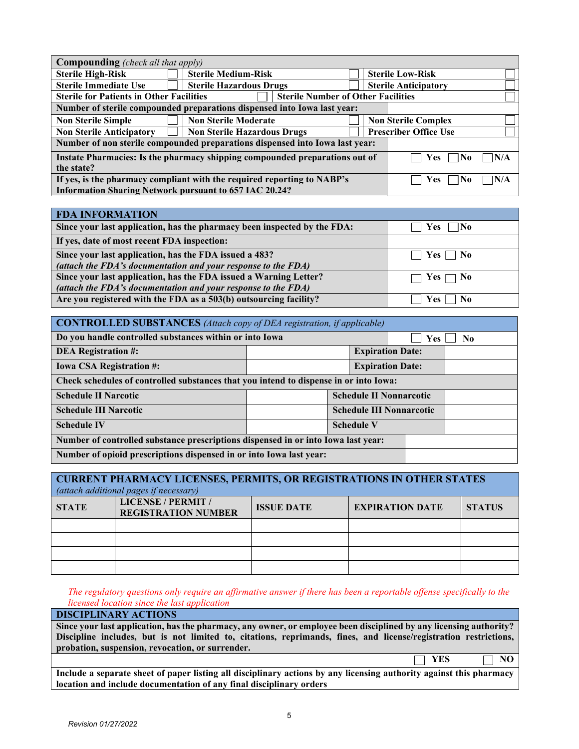| <b>Compounding</b> (check all that apply)                                                                |                                                                          |                              |                             |  |  |  |  |
|----------------------------------------------------------------------------------------------------------|--------------------------------------------------------------------------|------------------------------|-----------------------------|--|--|--|--|
| <b>Sterile High-Risk</b>                                                                                 | <b>Sterile Medium-Risk</b>                                               |                              | <b>Sterile Low-Risk</b>     |  |  |  |  |
| <b>Sterile Immediate Use</b>                                                                             | <b>Sterile Hazardous Drugs</b>                                           |                              | <b>Sterile Anticipatory</b> |  |  |  |  |
| <b>Sterile for Patients in Other Facilities</b>                                                          | <b>Sterile Number of Other Facilities</b>                                |                              |                             |  |  |  |  |
|                                                                                                          | Number of sterile compounded preparations dispensed into Iowa last year: |                              |                             |  |  |  |  |
| <b>Non Sterile Simple</b>                                                                                | <b>Non Sterile Moderate</b>                                              |                              | <b>Non Sterile Complex</b>  |  |  |  |  |
| <b>Non Sterile Anticipatory</b>                                                                          | <b>Non Sterile Hazardous Drugs</b>                                       | <b>Prescriber Office Use</b> |                             |  |  |  |  |
| Number of non sterile compounded preparations dispensed into Iowa last year:                             |                                                                          |                              |                             |  |  |  |  |
| Instate Pharmacies: Is the pharmacy shipping compounded preparations out of<br> N/A<br><b>Yes</b><br>∃No |                                                                          |                              |                             |  |  |  |  |
| the state?                                                                                               |                                                                          |                              |                             |  |  |  |  |
| If yes, is the pharmacy compliant with the required reporting to NABP's<br>N/A<br>Yes<br> No             |                                                                          |                              |                             |  |  |  |  |
| <b>Information Sharing Network pursuant to 657 IAC 20.24?</b>                                            |                                                                          |                              |                             |  |  |  |  |

| <b>FDA INFORMATION</b>                                                   |                              |
|--------------------------------------------------------------------------|------------------------------|
| Since your last application, has the pharmacy been inspected by the FDA: | No<br>Yes                    |
| If yes, date of most recent FDA inspection:                              |                              |
| Since your last application, has the FDA issued a 483?                   | $\Box$ Yes $\Box$ No         |
| (attach the FDA's documentation and your response to the FDA)            |                              |
| Since your last application, has the FDA issued a Warning Letter?        | $\Box$ Yes $\Box$ No         |
| (attach the FDA's documentation and your response to the FDA)            |                              |
| Are you registered with the FDA as a 503(b) outsourcing facility?        | N <sub>0</sub><br><b>Yes</b> |

| <b>CONTROLLED SUBSTANCES</b> (Attach copy of DEA registration, if applicable)           |                                 |  |  |  |  |
|-----------------------------------------------------------------------------------------|---------------------------------|--|--|--|--|
| Do you handle controlled substances within or into Iowa<br><b>Yes</b><br>N <sub>0</sub> |                                 |  |  |  |  |
| <b>DEA Registration #:</b>                                                              | <b>Expiration Date:</b>         |  |  |  |  |
| <b>Iowa CSA Registration #:</b>                                                         | <b>Expiration Date:</b>         |  |  |  |  |
| Check schedules of controlled substances that you intend to dispense in or into Iowa:   |                                 |  |  |  |  |
| <b>Schedule II Narcotic</b>                                                             | <b>Schedule II Nonnarcotic</b>  |  |  |  |  |
| <b>Schedule III Narcotic</b>                                                            | <b>Schedule III Nonnarcotic</b> |  |  |  |  |
| <b>Schedule IV</b>                                                                      | <b>Schedule V</b>               |  |  |  |  |
| Number of controlled substance prescriptions dispensed in or into Iowa last year:       |                                 |  |  |  |  |
| Number of opioid prescriptions dispensed in or into Iowa last year:                     |                                 |  |  |  |  |

| <b>CURRENT PHARMACY LICENSES, PERMITS, OR REGISTRATIONS IN OTHER STATES</b><br>(attach additional pages if necessary) |                                                  |                   |                        |               |  |
|-----------------------------------------------------------------------------------------------------------------------|--------------------------------------------------|-------------------|------------------------|---------------|--|
| <b>STATE</b>                                                                                                          | LICENSE / PERMIT /<br><b>REGISTRATION NUMBER</b> | <b>ISSUE DATE</b> | <b>EXPIRATION DATE</b> | <b>STATUS</b> |  |
|                                                                                                                       |                                                  |                   |                        |               |  |
|                                                                                                                       |                                                  |                   |                        |               |  |
|                                                                                                                       |                                                  |                   |                        |               |  |
|                                                                                                                       |                                                  |                   |                        |               |  |

*The regulatory questions only require an affirmative answer if there has been a reportable offense specifically to the licensed location since the last application*

**DISCIPLINARY ACTIONS** 

**Since your last application, has the pharmacy, any owner, or employee been disciplined by any licensing authority? Discipline includes, but is not limited to, citations, reprimands, fines, and license/registration restrictions, probation, suspension, revocation, or surrender.** 

 $YES \t\t\t\t**NO**$ 

**Include a separate sheet of paper listing all disciplinary actions by any licensing authority against this pharmacy location and include documentation of any final disciplinary orders**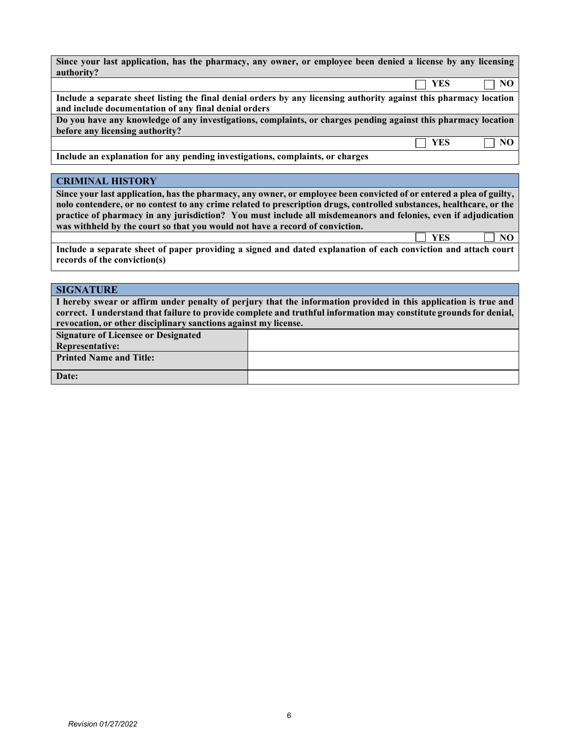| Since your last application, has the pharmacy, any owner, or employee been denied a license by any licensing       |     |    |
|--------------------------------------------------------------------------------------------------------------------|-----|----|
| authority?                                                                                                         |     |    |
|                                                                                                                    | YES | NO |
| Include a separate sheet listing the final denial orders by any licensing authority against this pharmacy location |     |    |
| and include documentation of any final denial orders                                                               |     |    |
| Do you have any knowledge of any investigations, complaints, or charges pending against this pharmacy location     |     |    |
| before any licensing authority?                                                                                    |     |    |
|                                                                                                                    | YES | NO |
| Include an explanation for any pending investigations, complaints, or charges                                      |     |    |

### **CRIMINAL HISTORY**

**Since your last application, has the pharmacy, any owner, or employee been convicted of or entered a plea of guilty, nolo contendere, or no contest to any crime related to prescription drugs, controlled substances, healthcare, or the practice of pharmacy in any jurisdiction? You must include all misdemeanors and felonies, even if adjudication was withheld by the court so that you would not have a record of conviction.** 

**Include a separate sheet of paper providing a signed and dated explanation of each conviction and attach court records of the conviction(s)**

**YES NO**

### **SIGNATURE**

**I hereby swear or affirm under penalty of perjury that the information provided in this application is true and correct. I understand that failure to provide complete and truthful information may constitute groundsfor denial, revocation, or other disciplinary sanctions against my license.**

| <b>Signature of Licensee or Designated</b> |  |
|--------------------------------------------|--|
| Representative:                            |  |
| <b>Printed Name and Title:</b>             |  |
| Date:                                      |  |